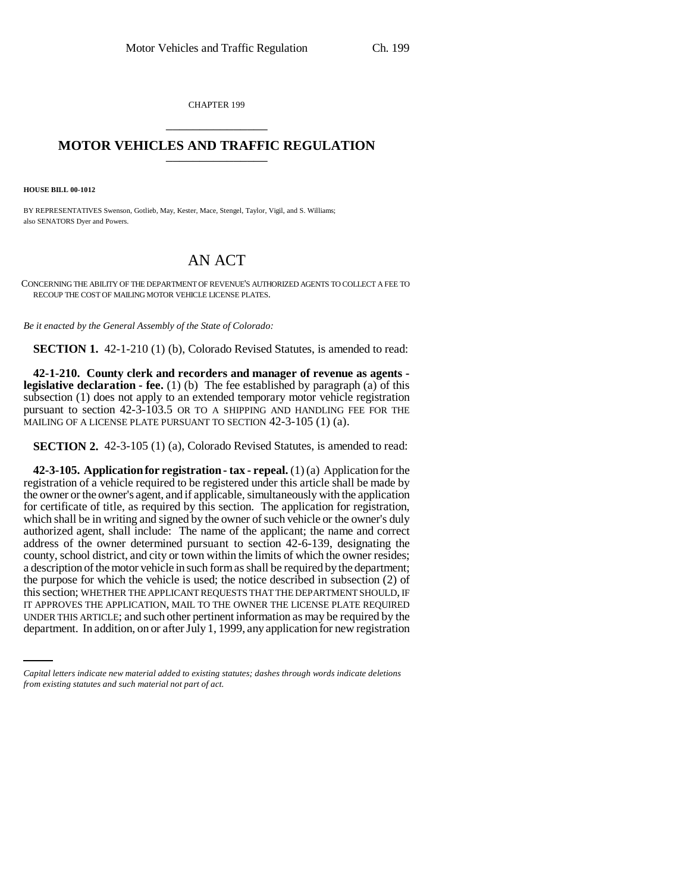CHAPTER 199 \_\_\_\_\_\_\_\_\_\_\_\_\_\_\_

## **MOTOR VEHICLES AND TRAFFIC REGULATION** \_\_\_\_\_\_\_\_\_\_\_\_\_\_\_

**HOUSE BILL 00-1012** 

BY REPRESENTATIVES Swenson, Gotlieb, May, Kester, Mace, Stengel, Taylor, Vigil, and S. Williams; also SENATORS Dyer and Powers.

## AN ACT

CONCERNING THE ABILITY OF THE DEPARTMENT OF REVENUE'S AUTHORIZED AGENTS TO COLLECT A FEE TO RECOUP THE COST OF MAILING MOTOR VEHICLE LICENSE PLATES.

*Be it enacted by the General Assembly of the State of Colorado:*

**SECTION 1.** 42-1-210 (1) (b), Colorado Revised Statutes, is amended to read:

**42-1-210. County clerk and recorders and manager of revenue as agents legislative declaration - fee.** (1) (b) The fee established by paragraph (a) of this subsection (1) does not apply to an extended temporary motor vehicle registration pursuant to section 42-3-103.5 OR TO A SHIPPING AND HANDLING FEE FOR THE MAILING OF A LICENSE PLATE PURSUANT TO SECTION 42-3-105 (1) (a).

**SECTION 2.** 42-3-105 (1) (a), Colorado Revised Statutes, is amended to read:

IT APPROVES THE APPLICATION, MAIL TO THE OWNER THE LICENSE PLATE REQUIRED **42-3-105. Application for registration - tax - repeal.** (1) (a) Application for the registration of a vehicle required to be registered under this article shall be made by the owner or the owner's agent, and if applicable, simultaneously with the application for certificate of title, as required by this section. The application for registration, which shall be in writing and signed by the owner of such vehicle or the owner's duly authorized agent, shall include: The name of the applicant; the name and correct address of the owner determined pursuant to section 42-6-139, designating the county, school district, and city or town within the limits of which the owner resides; a description of the motor vehicle in such form as shall be required by the department; the purpose for which the vehicle is used; the notice described in subsection (2) of this section; WHETHER THE APPLICANT REQUESTS THAT THE DEPARTMENT SHOULD, IF UNDER THIS ARTICLE; and such other pertinent information as may be required by the department. In addition, on or after July 1, 1999, any application for new registration

*Capital letters indicate new material added to existing statutes; dashes through words indicate deletions from existing statutes and such material not part of act.*